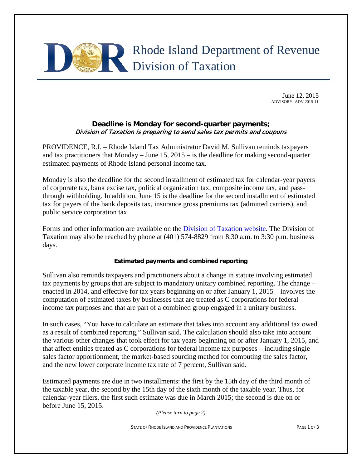# Rhode Island Department of Revenue Division of Taxation

June 12, 2015 ADVISORY: ADV 2015-11

# **Deadline is Monday for second-quarter payments;** Division of Taxation is preparing to send sales tax permits and coupons

PROVIDENCE, R.I. – Rhode Island Tax Administrator David M. Sullivan reminds taxpayers and tax practitioners that Monday – June 15, 2015 – is the deadline for making second-quarter estimated payments of Rhode Island personal income tax.

Monday is also the deadline for the second installment of estimated tax for calendar-year payers of corporate tax, bank excise tax, political organization tax, composite income tax, and passthrough withholding. In addition, June 15 is the deadline for the second installment of estimated tax for payers of the bank deposits tax, insurance gross premiums tax (admitted carriers), and public service corporation tax.

Forms and other information are available on the [Division of Taxation website.](http://www.tax.ri.gov/taxforms/) The Division of Taxation may also be reached by phone at (401) 574-8829 from 8:30 a.m. to 3:30 p.m. business days.

## **Estimated payments and combined reporting**

Sullivan also reminds taxpayers and practitioners about a change in statute involving estimated tax payments by groups that are subject to mandatory unitary combined reporting. The change – enacted in 2014, and effective for tax years beginning on or after January 1, 2015 – involves the computation of estimated taxes by businesses that are treated as C corporations for federal income tax purposes and that are part of a combined group engaged in a unitary business.

In such cases, "You have to calculate an estimate that takes into account any additional tax owed as a result of combined reporting," Sullivan said. The calculation should also take into account the various other changes that took effect for tax years beginning on or after January 1, 2015, and that affect entities treated as C corporations for federal income tax purposes – including single sales factor apportionment, the market-based sourcing method for computing the sales factor, and the new lower corporate income tax rate of 7 percent, Sullivan said.

Estimated payments are due in two installments: the first by the 15th day of the third month of the taxable year, the second by the 15th day of the sixth month of the taxable year. Thus, for calendar-year filers, the first such estimate was due in March 2015; the second is due on or before June 15, 2015.

*(Please turn to page 2)*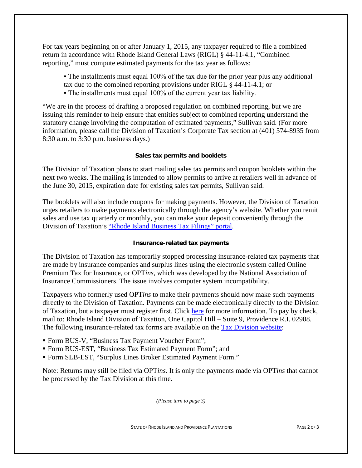For tax years beginning on or after January 1, 2015, any taxpayer required to file a combined return in accordance with Rhode Island General Laws (RIGL) § 44-11-4.1, "Combined reporting," must compute estimated payments for the tax year as follows:

- The installments must equal 100% of the tax due for the prior year plus any additional tax due to the combined reporting provisions under RIGL § 44-11-4.1; or
- The installments must equal 100% of the current year tax liability.

"We are in the process of drafting a proposed regulation on combined reporting, but we are issuing this reminder to help ensure that entities subject to combined reporting understand the statutory change involving the computation of estimated payments," Sullivan said. (For more information, please call the Division of Taxation's Corporate Tax section at (401) 574-8935 from 8:30 a.m. to 3:30 p.m. business days.)

## **Sales tax permits and booklets**

The Division of Taxation plans to start mailing sales tax permits and coupon booklets within the next two weeks. The mailing is intended to allow permits to arrive at retailers well in advance of the June 30, 2015, expiration date for existing sales tax permits, Sullivan said.

The booklets will also include coupons for making payments. However, the Division of Taxation urges retailers to make payments electronically through the agency's website. Whether you remit sales and use tax quarterly or monthly, you can make your deposit conveniently through the Division of Taxation's ["Rhode Island Business Tax Filings" portal.](https://www.ri.gov/taxation/business/index.php)

### **Insurance-related tax payments**

The Division of Taxation has temporarily stopped processing insurance-related tax payments that are made by insurance companies and surplus lines using the electronic system called Online Premium Tax for Insurance, or OPT*ins*, which was developed by the National Association of Insurance Commissioners. The issue involves computer system incompatibility.

Taxpayers who formerly used OPT*ins* to make their payments should now make such payments directly to the Division of Taxation. Payments can be made electronically directly to the Division of Taxation, but a taxpayer must register first. Click [here](https://www.ri.gov/taxation/business/index.php) for more information. To pay by check, mail to: Rhode Island Division of Taxation, One Capitol Hill – Suite 9, Providence R.I. 02908. The following insurance-related tax forms are available on the [Tax Division website:](http://www.tax.ri.gov/taxforms/otherbusiness.php)

- Form BUS-V, "Business Tax Payment Voucher Form";
- Form BUS-EST, "Business Tax Estimated Payment Form"; and
- Form SLB-EST, "Surplus Lines Broker Estimated Payment Form."

Note: Returns may still be filed via OPT*ins.* It is only the payments made via OPT*ins* that cannot be processed by the Tax Division at this time.

*(Please turn to page 3)*